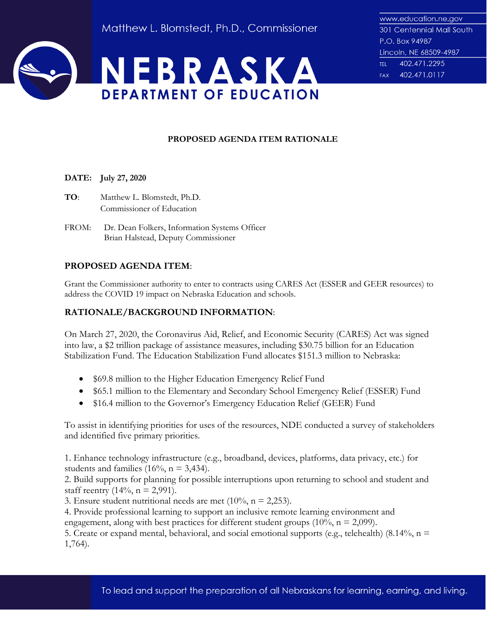

# **PROPOSED AGENDA ITEM RATIONALE**

## **DATE: July 27, 2020**

- **TO**: Matthew L. Blomstedt, Ph.D. Commissioner of Education
- FROM: Dr. Dean Folkers, Information Systems Officer Brian Halstead, Deputy Commissioner

# **PROPOSED AGENDA ITEM**:

Grant the Commissioner authority to enter to contracts using CARES Act (ESSER and GEER resources) to address the COVID 19 impact on Nebraska Education and schools.

## **RATIONALE/BACKGROUND INFORMATION**:

On March 27, 2020, the Coronavirus Aid, Relief, and Economic Security (CARES) Act was signed into law, a \$2 trillion package of assistance measures, including \$30.75 billion for an Education Stabilization Fund. The Education Stabilization Fund allocates \$151.3 million to Nebraska:

- \$69.8 million to the Higher Education Emergency Relief Fund
- \$65.1 million to the Elementary and Secondary School Emergency Relief (ESSER) Fund
- \$16.4 million to the Governor's Emergency Education Relief (GEER) Fund

To assist in identifying priorities for uses of the resources, NDE conducted a survey of stakeholders and identified five primary priorities.

1. Enhance technology infrastructure (e.g., broadband, devices, platforms, data privacy, etc.) for students and families (16%,  $n = 3,434$ ).

2. Build supports for planning for possible interruptions upon returning to school and student and staff reentry  $(14\%, n = 2,991)$ .

3. Ensure student nutritional needs are met  $(10\%, n = 2,253)$ .

4. Provide professional learning to support an inclusive remote learning environment and engagement, along with best practices for different student groups  $(10\%, n = 2,099)$ .

5. Create or expand mental, behavioral, and social emotional supports (e.g., telehealth) (8.14%,  $n =$ 1,764).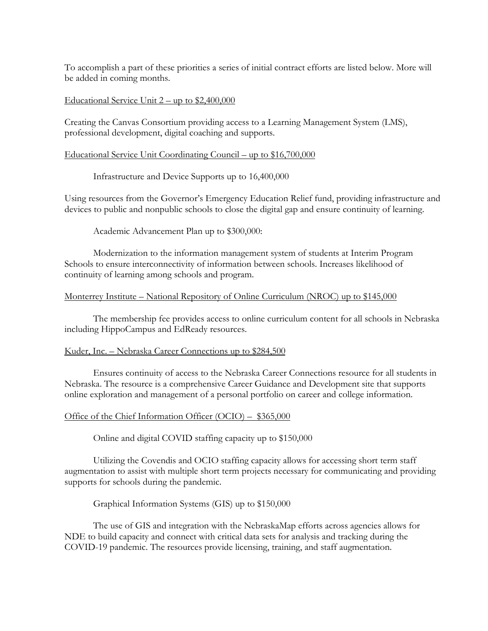To accomplish a part of these priorities a series of initial contract efforts are listed below. More will be added in coming months.

## Educational Service Unit  $2 -$ up to \$2,400,000

Creating the Canvas Consortium providing access to a Learning Management System (LMS), professional development, digital coaching and supports.

## Educational Service Unit Coordinating Council – up to \$16,700,000

## Infrastructure and Device Supports up to 16,400,000

Using resources from the Governor's Emergency Education Relief fund, providing infrastructure and devices to public and nonpublic schools to close the digital gap and ensure continuity of learning.

Academic Advancement Plan up to \$300,000:

Modernization to the information management system of students at Interim Program Schools to ensure interconnectivity of information between schools. Increases likelihood of continuity of learning among schools and program.

#### Monterrey Institute – National Repository of Online Curriculum (NROC) up to \$145,000

The membership fee provides access to online curriculum content for all schools in Nebraska including HippoCampus and EdReady resources.

#### Kuder, Inc. – Nebraska Career Connections up to \$284,500

Ensures continuity of access to the Nebraska Career Connections resource for all students in Nebraska. The resource is a comprehensive Career Guidance and Development site that supports online exploration and management of a personal portfolio on career and college information.

#### Office of the Chief Information Officer (OCIO) – \$365,000

Online and digital COVID staffing capacity up to \$150,000

Utilizing the Covendis and OCIO staffing capacity allows for accessing short term staff augmentation to assist with multiple short term projects necessary for communicating and providing supports for schools during the pandemic.

Graphical Information Systems (GIS) up to \$150,000

The use of GIS and integration with the NebraskaMap efforts across agencies allows for NDE to build capacity and connect with critical data sets for analysis and tracking during the COVID-19 pandemic. The resources provide licensing, training, and staff augmentation.